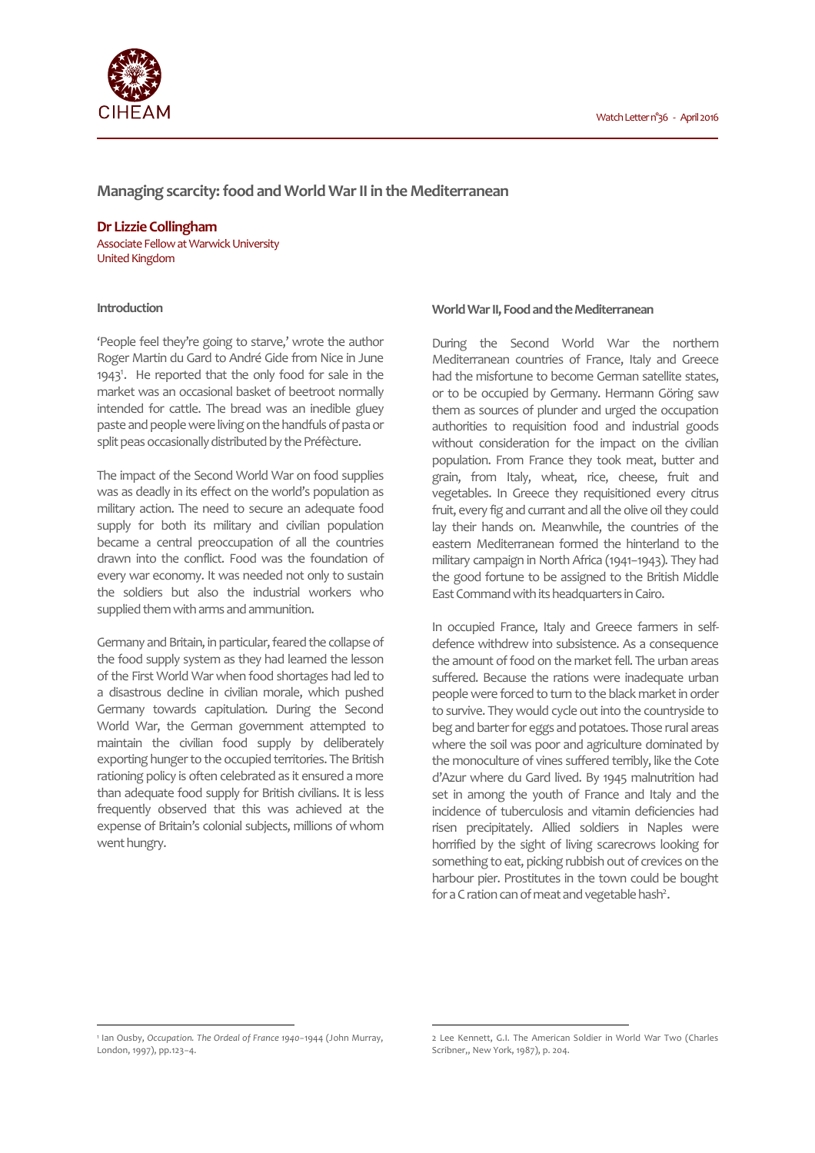

# **Managing scarcity: food and World War II in the Mediterranean**

**Dr Lizzie Collingham**  Associate Fellow at Warwick University United Kingdom

## **Introduction**

'People feel they're going to starve,' wrote the author Roger Martin du Gard to André Gide from Nice in June 1943<sup>1</sup>. He reported that the only food for sale in the market was an occasional basket of beetroot normally intended for cattle. The bread was an inedible gluey paste and people were living on the handfuls of pasta or split peas occasionally distributed by the Préfècture.

The impact of the Second World War on food supplies was as deadly in its effect on the world's population as military action. The need to secure an adequate food supply for both its military and civilian population became a central preoccupation of all the countries drawn into the conflict. Food was the foundation of every war economy. It was needed not only to sustain the soldiers but also the industrial workers who supplied them with arms and ammunition.

Germany and Britain, in particular, feared the collapse of the food supply system as they had learned the lesson of the First World War when food shortages had led to a disastrous decline in civilian morale, which pushed Germany towards capitulation. During the Second World War, the German government attempted to maintain the civilian food supply by deliberately exporting hunger to the occupied territories. The British rationing policy is often celebrated as it ensured a more than adequate food supply for British civilians. It is less frequently observed that this was achieved at the expense of Britain's colonial subjects, millions of whom went hungry.

## **World War II, Food and the Mediterranean**

During the Second World War the northern Mediterranean countries of France, Italy and Greece had the misfortune to become German satellite states, or to be occupied by Germany. Hermann Göring saw them as sources of plunder and urged the occupation authorities to requisition food and industrial goods without consideration for the impact on the civilian population. From France they took meat, butter and grain, from Italy, wheat, rice, cheese, fruit and vegetables. In Greece they requisitioned every citrus fruit, every fig and currant and all the olive oil they could lay their hands on. Meanwhile, the countries of the eastern Mediterranean formed the hinterland to the military campaign in North Africa (1941−1943). They had the good fortune to be assigned to the British Middle East Command with its headquarters in Cairo.

In occupied France, Italy and Greece farmers in selfdefence withdrew into subsistence. As a consequence the amount of food on the market fell. The urban areas suffered. Because the rations were inadequate urban people were forced to turn to the black market in order to survive. They would cycle out into the countryside to beg and barter for eggs and potatoes. Those rural areas where the soil was poor and agriculture dominated by the monoculture of vines suffered terribly, like the Cote d'Azur where du Gard lived. By 1945 malnutrition had set in among the youth of France and Italy and the incidence of tuberculosis and vitamin deficiencies had risen precipitately. Allied soldiers in Naples were horrified by the sight of living scarecrows looking for something to eat, picking rubbish out of crevices on the harbour pier. Prostitutes in the town could be bought for a C ration can of meat and vegetable hash<sup>2</sup>.

 $\overline{a}$ 

l

<sup>1</sup> Ian Ousby, *Occupation. The Ordeal of France 1940−*1944 (John Murray, London, 1997), pp.123−4.

<sup>2</sup> Lee Kennett, G.I. The American Soldier in World War Two (Charles Scribner,, New York, 1987), p. 204.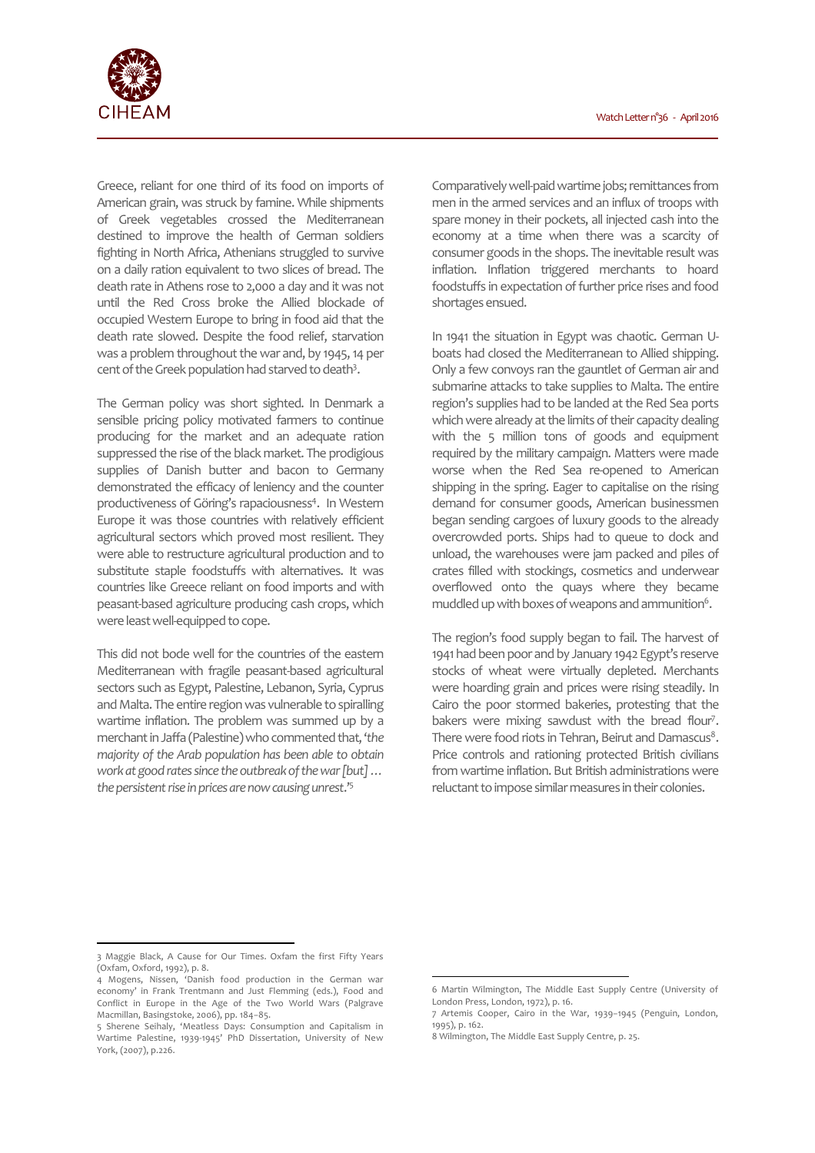

Greece, reliant for one third of its food on imports of American grain, was struck by famine. While shipments of Greek vegetables crossed the Mediterranean destined to improve the health of German soldiers fighting in North Africa, Athenians struggled to survive on a daily ration equivalent to two slices of bread. The death rate in Athens rose to 2,000 a day and it was not until the Red Cross broke the Allied blockade of occupied Western Europe to bring in food aid that the death rate slowed. Despite the food relief, starvation was a problem throughout the war and, by 1945, 14 per cent of the Greek population had starved to death<sup>3</sup>.

The German policy was short sighted. In Denmark a sensible pricing policy motivated farmers to continue producing for the market and an adequate ration suppressed the rise of the black market. The prodigious supplies of Danish butter and bacon to Germany demonstrated the efficacy of leniency and the counter productiveness of Göring's rapaciousness<sup>4</sup>. In Western Europe it was those countries with relatively efficient agricultural sectors which proved most resilient. They were able to restructure agricultural production and to substitute staple foodstuffs with alternatives. It was countries like Greece reliant on food imports and with peasant-based agriculture producing cash crops, which were least well-equipped to cope.

This did not bode well for the countries of the eastern Mediterranean with fragile peasant-based agricultural sectors such as Egypt, Palestine, Lebanon, Syria, Cyprus and Malta. The entire region was vulnerable to spiralling wartime inflation. The problem was summed up by a merchant in Jaffa (Palestine) who commented that, '*the majority of the Arab population has been able to obtain work at good rates since the outbreak of the war [but] … the persistent rise in prices are now causing unrest*.'<sup>5</sup>

Comparatively well-paid wartime jobs; remittances from men in the armed services and an influx of troops with spare money in their pockets, all injected cash into the economy at a time when there was a scarcity of consumer goods in the shops. The inevitable result was inflation. Inflation triggered merchants to hoard foodstuffs in expectation of further price rises and food shortages ensued.

In 1941 the situation in Egypt was chaotic. German Uboats had closed the Mediterranean to Allied shipping. Only a few convoys ran the gauntlet of German air and submarine attacks to take supplies to Malta. The entire region's supplies had to be landed at the Red Sea ports which were already at the limits of their capacity dealing with the 5 million tons of goods and equipment required by the military campaign. Matters were made worse when the Red Sea re-opened to American shipping in the spring. Eager to capitalise on the rising demand for consumer goods, American businessmen began sending cargoes of luxury goods to the already overcrowded ports. Ships had to queue to dock and unload, the warehouses were jam packed and piles of crates filled with stockings, cosmetics and underwear overflowed onto the quays where they became muddled up with boxes of weapons and ammunition $6$ .

The region's food supply began to fail. The harvest of 1941 had been poor and by January 1942 Egypt's reserve stocks of wheat were virtually depleted. Merchants were hoarding grain and prices were rising steadily. In Cairo the poor stormed bakeries, protesting that the bakers were mixing sawdust with the bread flour<sup>7</sup>. There were food riots in Tehran, Beirut and Damascus $^8\cdot$ Price controls and rationing protected British civilians from wartime inflation. But British administrations were reluctant to impose similar measures in their colonies.

l

 $\overline{a}$ 

<sup>3</sup> Maggie Black, A Cause for Our Times. Oxfam the first Fifty Years (Oxfam, Oxford, 1992), p. 8.

<sup>4</sup> Mogens, Nissen, 'Danish food production in the German war economy' in Frank Trentmann and Just Flemming (eds.), Food and Conflict in Europe in the Age of the Two World Wars (Palgrave Macmillan, Basingstoke, 2006), pp. 184−85.

<sup>5</sup> Sherene Seihaly, 'Meatless Days: Consumption and Capitalism in Wartime Palestine, 1939-1945' PhD Dissertation, University of New York, (2007), p.226.

<sup>6</sup> Martin Wilmington, The Middle East Supply Centre (University of London Press, London, 1972), p. 16.

<sup>7</sup> Artemis Cooper, Cairo in the War, 1939−1945 (Penguin, London, 1995), p. 162.

<sup>8</sup> Wilmington, The Middle East Supply Centre, p. 25.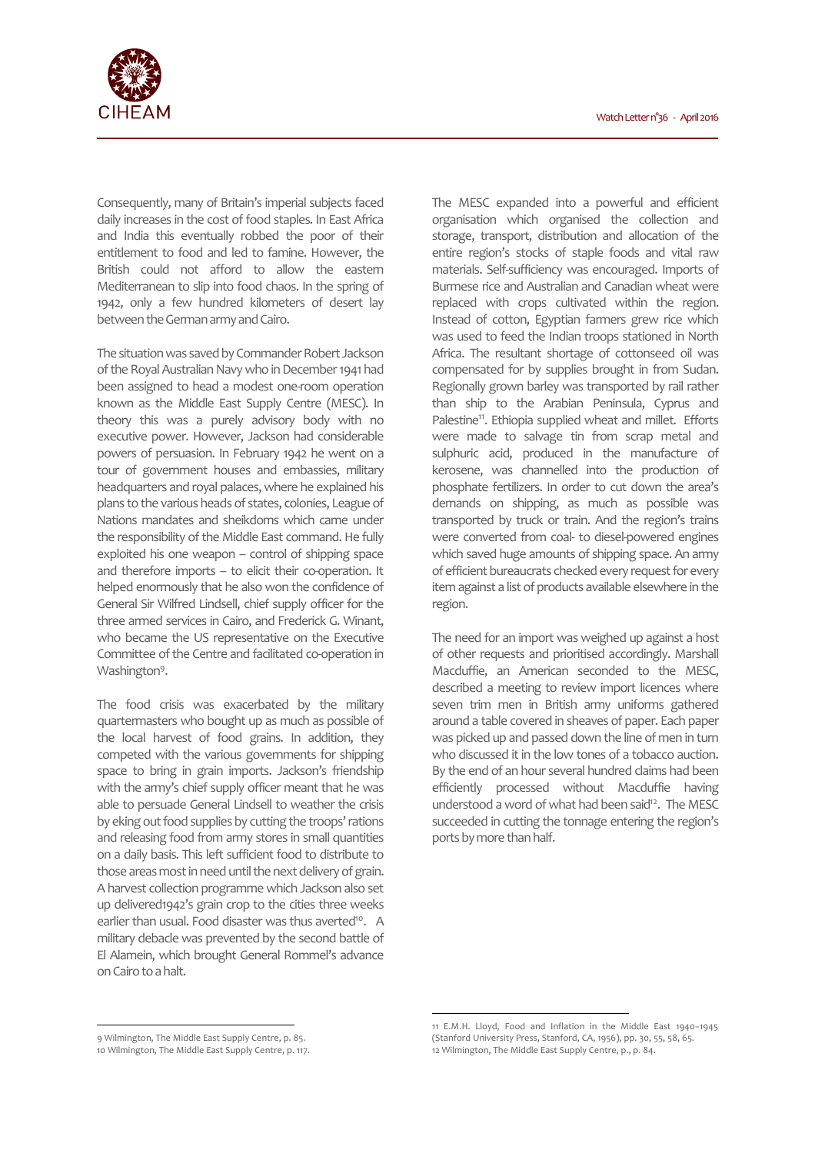

Consequently, many of Britain's imperial subjects faced daily increases in the cost of food staples. In East Africa and India this eventually robbed the poor of their entitlement to food and led to famine. However, the British could not afford to allow the eastern Mediterranean to slip into food chaos. In the spring of 1942, only a few hundred kilometers of desert lay between the German army and Cairo.

The situation was saved by Commander Robert Jackson of the Royal Australian Navy who in December 1941 had been assigned to head a modest one-room operation known as the Middle East Supply Centre (MESC). In theory this was a purely advisory body with no executive power. However, Jackson had considerable powers of persuasion. In February 1942 he went on a tour of government houses and embassies, military headquarters and royal palaces, where he explained his plans to the various heads of states, colonies, League of Nations mandates and sheikdoms which came under the responsibility of the Middle East command. He fully exploited his one weapon – control of shipping space and therefore imports – to elicit their co-operation. It helped enormously that he also won the confidence of General Sir Wilfred Lindsell, chief supply officer for the three armed services in Cairo, and Frederick G. Winant, who became the US representative on the Executive Committee of the Centre and facilitated co-operation in Washington<sup>9</sup>.

The food crisis was exacerbated by the military quartermasters who bought up as much as possible of the local harvest of food grains. In addition, they competed with the various governments for shipping space to bring in grain imports. Jackson's friendship with the army's chief supply officer meant that he was able to persuade General Lindsell to weather the crisis by eking out food supplies by cutting the troops' rations and releasing food from army stores in small quantities on a daily basis. This left sufficient food to distribute to those areas most in need until the next delivery of grain. A harvest collection programme which Jackson also set up delivered1942's grain crop to the cities three weeks earlier than usual. Food disaster was thus averted<sup>10</sup>. A military debacle was prevented by the second battle of El Alamein, which brought General Rommel's advance on Cairo to a halt.

The MESC expanded into a powerful and efficient organisation which organised the collection and storage, transport, distribution and allocation of the entire region's stocks of staple foods and vital raw materials. Self-sufficiency was encouraged. Imports of Burmese rice and Australian and Canadian wheat were replaced with crops cultivated within the region. Instead of cotton, Egyptian farmers grew rice which was used to feed the Indian troops stationed in North Africa. The resultant shortage of cottonseed oil was compensated for by supplies brought in from Sudan. Regionally grown barley was transported by rail rather than ship to the Arabian Peninsula, Cyprus and Palestine<sup>11</sup>. Ethiopia supplied wheat and millet. Efforts were made to salvage tin from scrap metal and sulphuric acid, produced in the manufacture of kerosene, was channelled into the production of phosphate fertilizers. In order to cut down the area's demands on shipping, as much as possible was transported by truck or train. And the region's trains were converted from coal- to diesel-powered engines which saved huge amounts of shipping space. An army of efficient bureaucrats checked every request for every item against a list of products available elsewhere in the region.

The need for an import was weighed up against a host of other requests and prioritised accordingly. Marshall Macduffie, an American seconded to the MESC, described a meeting to review import licences where seven trim men in British army uniforms gathered around a table covered in sheaves of paper. Each paper was picked up and passed down the line of men in turn who discussed it in the low tones of a tobacco auction. By the end of an hour several hundred claims had been efficiently processed without Macduffie having understood a word of what had been said<sup>12</sup>. The MESC succeeded in cutting the tonnage entering the region's ports by more than half.

 $\overline{a}$ 

 $\overline{a}$ 

<sup>9</sup> Wilmington, The Middle East Supply Centre, p. 85.

<sup>10</sup> Wilmington, The Middle East Supply Centre, p. 117.

<sup>11</sup> E.M.H. Lloyd, Food and Inflation in the Middle East 1940−1945 (Stanford University Press, Stanford, CA, 1956), pp. 30, 55, 58, 65. 12 Wilmington, The Middle East Supply Centre, p., p. 84.